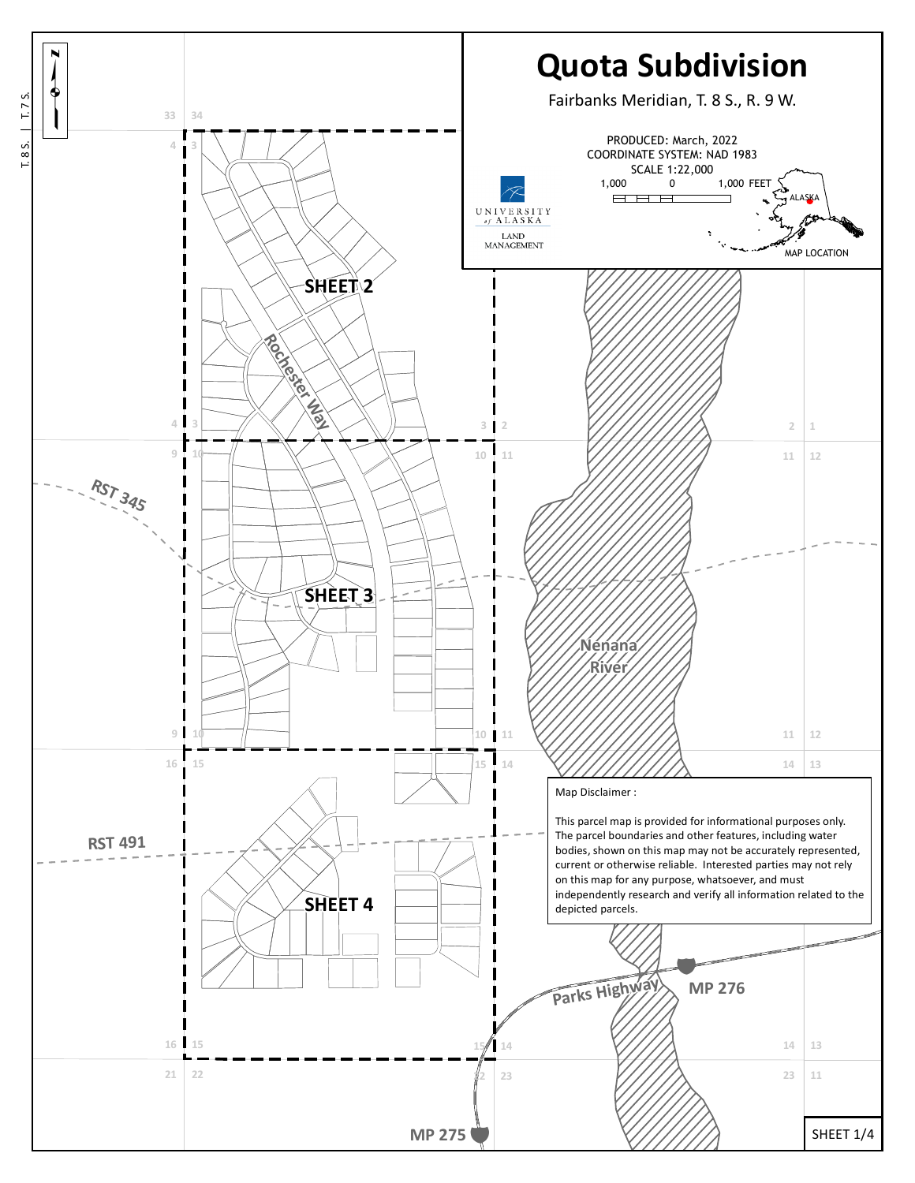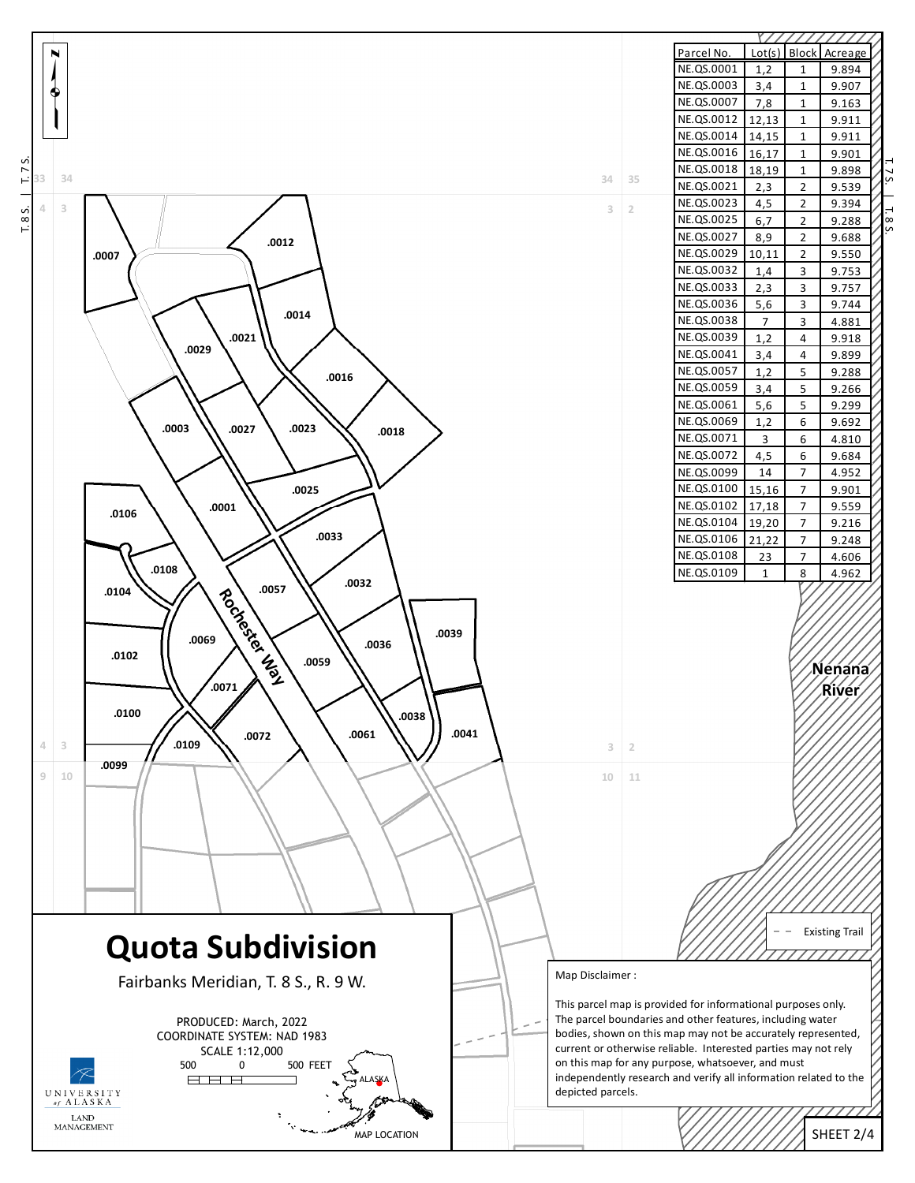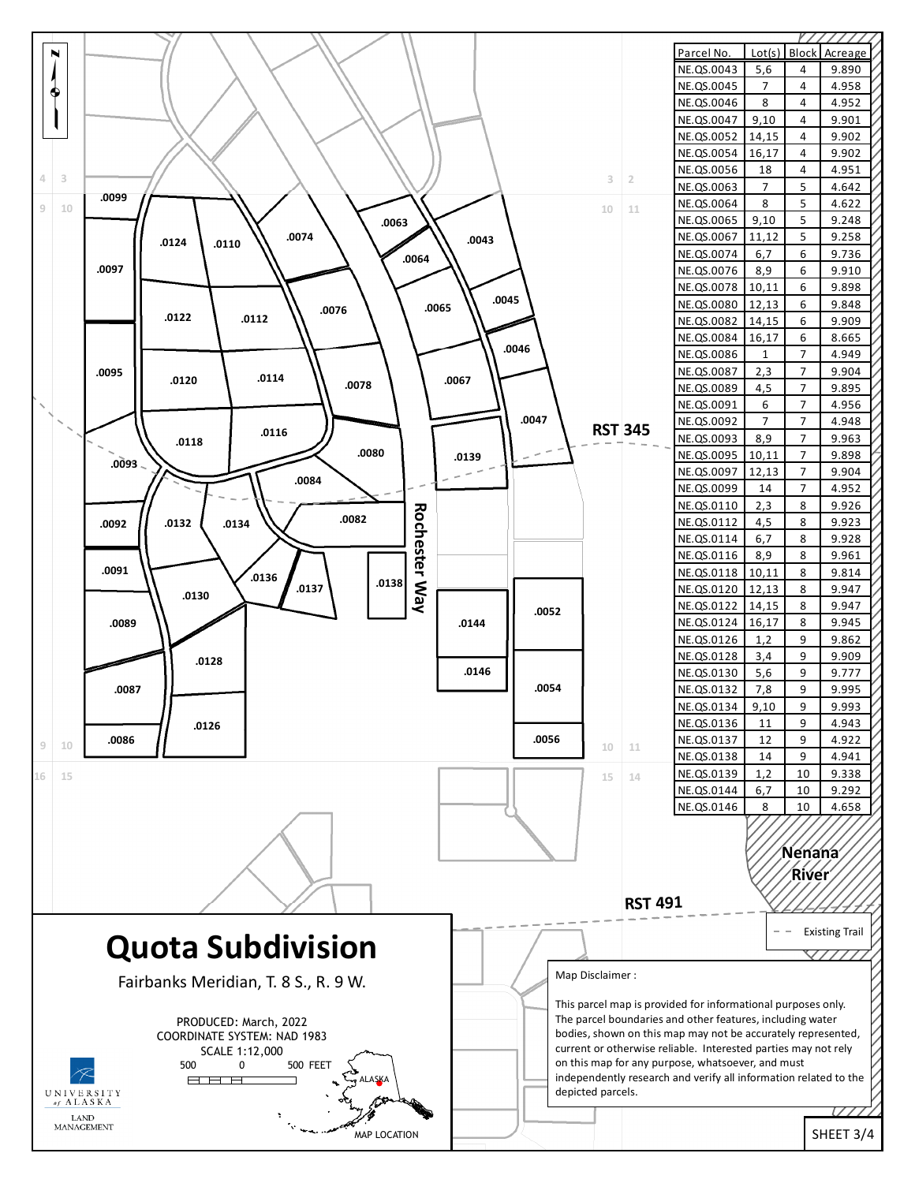